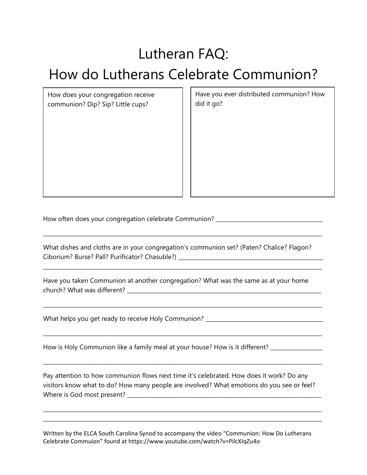## Lutheran FAQ:

## How do Lutherans Celebrate Communion?

How does your congregation receive communion? Dip? Sip? Little cups?

Have you ever distributed communion? How did it go?

How often does your congregation celebrate Communion? \_\_\_\_\_\_\_\_\_\_\_\_\_\_\_\_\_\_\_\_\_\_\_\_\_\_

What dishes and cloths are in your congregation's communion set? (Paten? Chalice? Flagon? Ciborium? Burse? Pall? Purificator? Chasuble?) \_\_\_\_\_\_\_\_\_\_\_\_\_\_\_\_\_\_\_\_\_\_\_\_\_\_\_\_\_\_\_\_\_\_

\_\_\_\_\_\_\_\_\_\_\_\_\_\_\_\_\_\_\_\_\_\_\_\_\_\_\_\_\_\_\_\_\_\_\_\_\_\_\_\_\_\_\_\_\_\_\_\_\_\_\_\_\_\_\_\_\_\_\_\_\_\_\_\_\_\_\_\_\_\_\_\_\_\_\_\_\_\_\_\_\_\_\_\_\_\_\_\_\_\_\_\_\_\_\_\_\_\_\_\_\_\_

\_\_\_\_\_\_\_\_\_\_\_\_\_\_\_\_\_\_\_\_\_\_\_\_\_\_\_\_\_\_\_\_\_\_\_\_\_\_\_\_\_\_\_\_\_\_\_\_\_\_\_\_\_\_\_\_\_\_\_\_\_\_\_\_\_\_\_\_\_\_\_\_\_\_\_\_\_\_\_\_\_\_\_\_\_\_\_\_\_\_\_\_\_\_\_\_\_\_\_\_\_\_

\_\_\_\_\_\_\_\_\_\_\_\_\_\_\_\_\_\_\_\_\_\_\_\_\_\_\_\_\_\_\_\_\_\_\_\_\_\_\_\_\_\_\_\_\_\_\_\_\_\_\_\_\_\_\_\_\_\_\_\_\_\_\_\_\_\_\_\_\_\_\_\_\_\_\_\_\_\_\_\_\_\_\_\_\_\_\_\_\_\_\_\_\_\_\_\_\_\_\_\_\_\_

\_\_\_\_\_\_\_\_\_\_\_\_\_\_\_\_\_\_\_\_\_\_\_\_\_\_\_\_\_\_\_\_\_\_\_\_\_\_\_\_\_\_\_\_\_\_\_\_\_\_\_\_\_\_\_\_\_\_\_\_\_\_\_\_\_\_\_\_\_\_\_\_\_\_\_\_\_\_\_\_\_\_\_\_\_\_\_\_\_\_\_\_\_\_\_\_\_\_\_\_\_\_

\_\_\_\_\_\_\_\_\_\_\_\_\_\_\_\_\_\_\_\_\_\_\_\_\_\_\_\_\_\_\_\_\_\_\_\_\_\_\_\_\_\_\_\_\_\_\_\_\_\_\_\_\_\_\_\_\_\_\_\_\_\_\_\_\_\_\_\_\_\_\_\_\_\_\_\_\_\_\_\_\_\_\_\_\_\_\_\_\_\_\_\_\_\_\_\_\_\_\_\_\_\_

Have you taken Communion at another congregation? What was the same as at your home church? What was different? \_\_\_\_\_\_\_\_\_\_\_\_\_\_\_\_\_\_\_\_\_\_\_\_\_\_\_\_\_\_\_\_\_\_\_\_\_\_\_\_\_\_\_\_\_\_\_\_\_\_\_\_\_\_\_\_\_\_\_\_\_\_\_\_\_\_\_\_\_\_\_

What helps you get ready to receive Holy Communion? \_\_\_\_\_\_\_\_\_\_\_\_\_\_\_\_\_\_\_\_\_\_\_\_\_\_\_\_

How is Holy Communion like a family meal at your house? How is it different? \_\_\_\_\_\_\_\_\_\_\_\_\_\_

Pay attention to how communion flows next time it's celebrated. How does it work? Do any visitors know what to do? How many people are involved? What emotions do you see or feel? Where is God most present? \_\_\_\_\_\_\_\_\_\_\_\_\_\_\_\_\_\_\_\_\_\_\_\_\_\_\_\_\_\_\_\_\_\_\_\_\_\_\_\_\_\_\_\_\_\_\_\_\_\_\_\_\_\_\_\_\_\_\_\_\_\_\_\_\_\_\_\_\_\_\_

\_\_\_\_\_\_\_\_\_\_\_\_\_\_\_\_\_\_\_\_\_\_\_\_\_\_\_\_\_\_\_\_\_\_\_\_\_\_\_\_\_\_\_\_\_\_\_\_\_\_\_\_\_\_\_\_\_\_\_\_\_\_\_\_\_\_\_\_\_\_\_\_\_\_\_\_\_\_\_\_\_\_\_\_\_\_\_\_\_\_\_\_\_\_\_\_\_\_\_\_\_\_ \_\_\_\_\_\_\_\_\_\_\_\_\_\_\_\_\_\_\_\_\_\_\_\_\_\_\_\_\_\_\_\_\_\_\_\_\_\_\_\_\_\_\_\_\_\_\_\_\_\_\_\_\_\_\_\_\_\_\_\_\_\_\_\_\_\_\_\_\_\_\_\_\_\_\_\_\_\_\_\_\_\_\_\_\_\_\_\_\_\_\_\_\_\_\_\_\_\_\_\_\_\_

Written by the ELCA South Carolina Synod to accompany the video "Communion: How Do Lutherans Celebrate Commuion" found at https://www.youtube.com/watch?v=PilcXIqZu4o